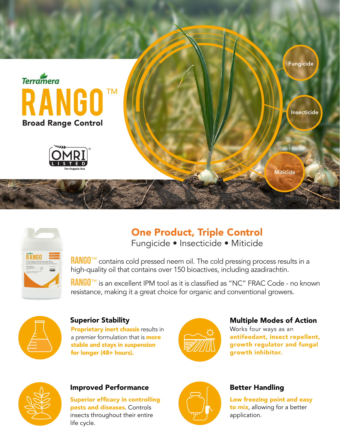



# One Product, Triple Control Fungicide • Insecticide • Miticide

RANGO<sup>™</sup> contains cold pressed neem oil. The cold pressing process results in a

high-quality oil that contains over 150 bioactives, including azadirachtin.

RANGO<sup>™</sup> is an excellent IPM tool as it is classified as "NC" FRAC Code - no known resistance, making it a great choice for organic and conventional growers.



#### Superior Stability

Proprietary inert chassis results in a premier formulation that is **more** stable and stays in suspension for longer (48+ hours).



## Multiple Modes of Action

Works four ways as an antifeedant, insect repellent, growth regulator and fungal growth inhibitor.



#### Improved Performance

Superior efficacy in controlling pests and diseases. Controls insects throughout their entire life cycle.



### Better Handling

Low freezing point and easy to mix, allowing for a better application.